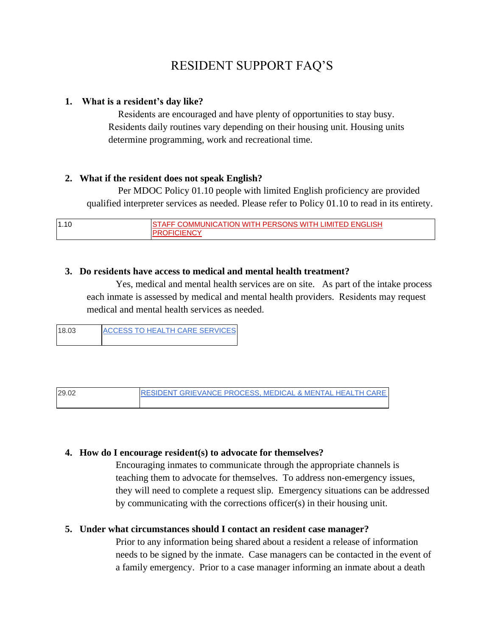# RESIDENT SUPPORT FAQ'S

#### **1. What is a resident's day like?**

Residents are encouraged and have plenty of opportunities to stay busy. Residents daily routines vary depending on their housing unit. Housing units determine programming, work and recreational time.

### **2. What if the resident does not speak English?**

Per MDOC Policy 01.10 people with limited English proficiency are provided qualified interpreter services as needed. Please refer to Policy 01.10 to read in its entirety.

| 1.10 | OMMUNICATION WITH PERSONS WITH LIMITED ENGLISH<br>AF. |
|------|-------------------------------------------------------|
|      | JENC'<br>$3 - 10$                                     |

### **3. Do residents have access to medical and mental health treatment?**

Yes, medical and mental health services are on site. As part of the intake process each inmate is assessed by medical and mental health providers. Residents may request medical and mental health services as needed.

| 18.03 | <b>ACCESS TO HEALTH CARE SERVICES</b> |
|-------|---------------------------------------|
|       |                                       |

29.02 RESIDENT [GRIEVANCE PROCESS, MEDICAL & MENTAL HEALTH CARE](http://www.maine.gov/tools/whatsnew/attach.php?id=663269&an=1)

#### **4. How do I encourage resident(s) to advocate for themselves?**

Encouraging inmates to communicate through the appropriate channels is teaching them to advocate for themselves. To address non-emergency issues, they will need to complete a request slip. Emergency situations can be addressed by communicating with the corrections officer(s) in their housing unit.

## **5. Under what circumstances should I contact an resident case manager?**

Prior to any information being shared about a resident a release of information needs to be signed by the inmate. Case managers can be contacted in the event of a family emergency. Prior to a case manager informing an inmate about a death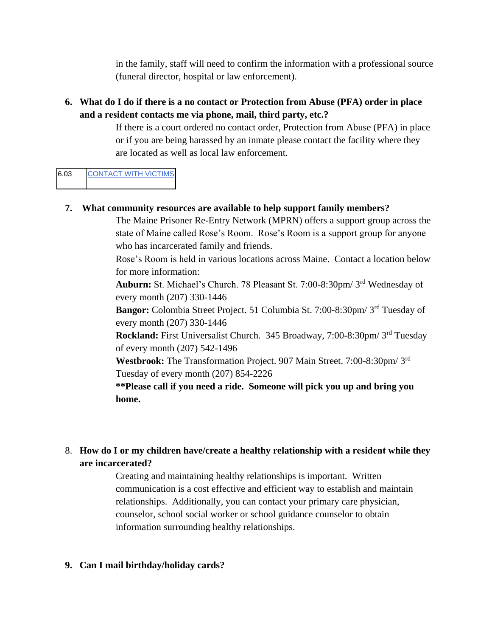in the family, staff will need to confirm the information with a professional source (funeral director, hospital or law enforcement).

## **6. What do I do if there is a no contact or Protection from Abuse (PFA) order in place and a resident contacts me via phone, mail, third party, etc.?**

If there is a court ordered no contact order, Protection from Abuse (PFA) in place or if you are being harassed by an inmate please contact the facility where they are located as well as local law enforcement.

## 6.03 [CONTACT WITH VICTIMS](http://www.maine.gov/tools/whatsnew/attach.php?id=683086&an=1)

## **7. What community resources are available to help support family members?**

The Maine Prisoner Re-Entry Network (MPRN) offers a support group across the state of Maine called Rose's Room. Rose's Room is a support group for anyone who has incarcerated family and friends.

Rose's Room is held in various locations across Maine. Contact a location below for more information:

**Auburn:** St. Michael's Church. 78 Pleasant St. 7:00-8:30pm/ 3rd Wednesday of every month (207) 330-1446

**Bangor:** Colombia Street Project. 51 Columbia St. 7:00-8:30pm/ 3rd Tuesday of every month (207) 330-1446

**Rockland:** First Universalist Church. 345 Broadway, 7:00-8:30pm/ 3rd Tuesday of every month (207) 542-1496

**Westbrook:** The Transformation Project. 907 Main Street. 7:00-8:30pm/ 3rd Tuesday of every month (207) 854-2226

**\*\*Please call if you need a ride. Someone will pick you up and bring you home.**

## 8. **How do I or my children have/create a healthy relationship with a resident while they are incarcerated?**

Creating and maintaining healthy relationships is important. Written communication is a cost effective and efficient way to establish and maintain relationships. Additionally, you can contact your primary care physician, counselor, school social worker or school guidance counselor to obtain information surrounding healthy relationships.

#### **9. Can I mail birthday/holiday cards?**